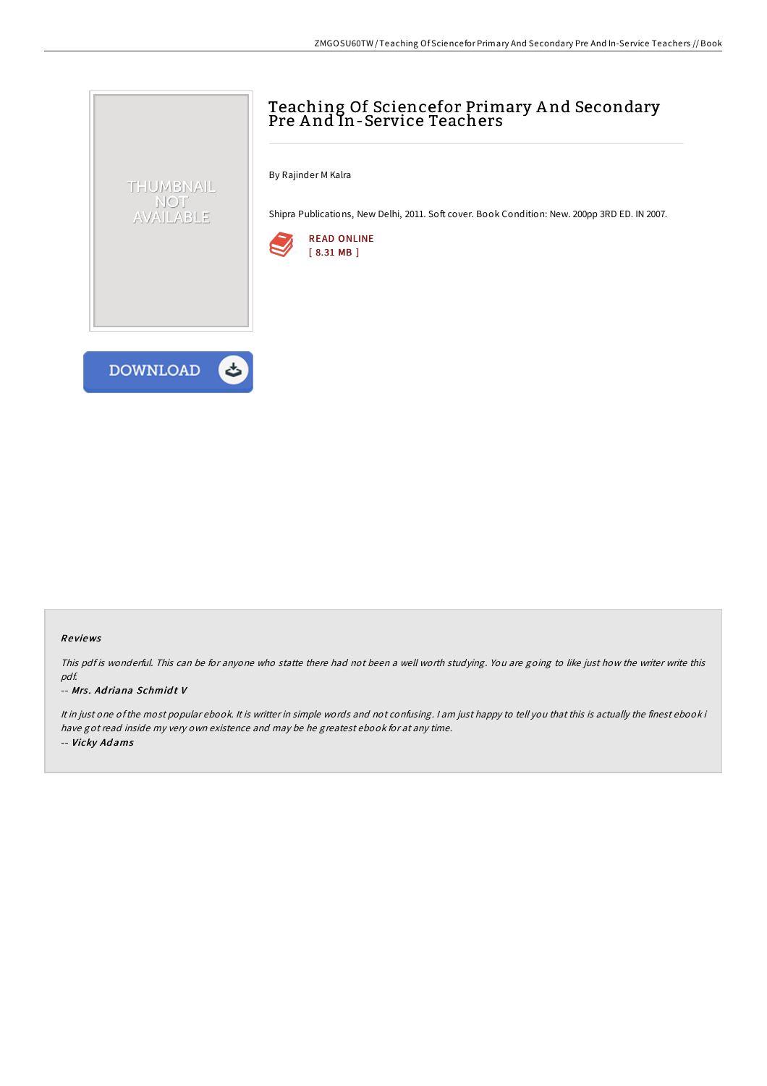# Teaching Of Sciencefor Primary A nd Secondary Pre A nd In-Service Teachers

By Rajinder M Kalra

Shipra Publications, New Delhi, 2011. Soft cover. Book Condition: New. 200pp 3RD ED. IN 2007.





THUMBNAIL NOT AVAILABLE

### Re views

This pdf is wonderful. This can be for anyone who statte there had not been <sup>a</sup> well worth studying. You are going to like just how the writer write this pdf.

#### -- Mrs. Adriana Schmidt V

It in just one ofthe most popular ebook. It is writter in simple words and not confusing. <sup>I</sup> am just happy to tell you that this is actually the finest ebook i have got read inside my very own existence and may be he greatest ebook for at any time. -- Vicky Ad ams